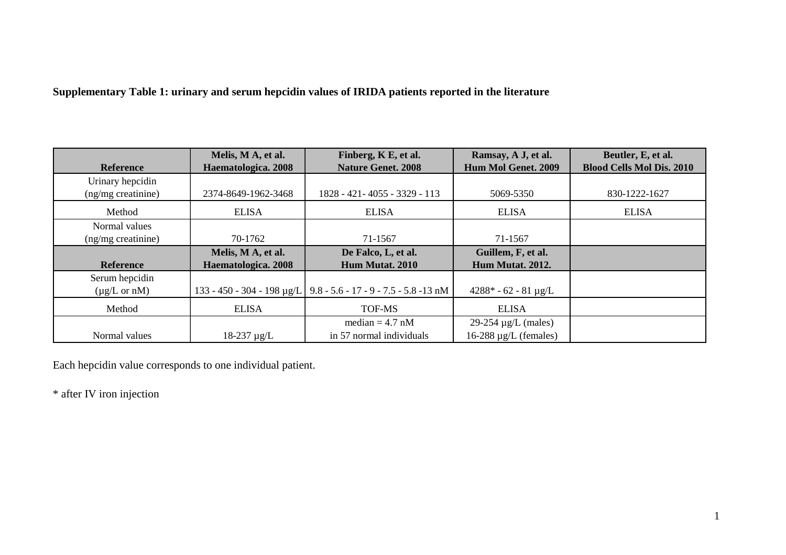**Supplementary Table 1: urinary and serum hepcidin values of IRIDA patients reported in the literature**

| <b>Reference</b>           | Melis, M A, et al.<br>Haematologica. 2008 | Finberg, K E, et al.<br><b>Nature Genet. 2008</b>                  | Ramsay, A J, et al.<br>Hum Mol Genet. 2009 | Beutler, E, et al.<br><b>Blood Cells Mol Dis. 2010</b> |
|----------------------------|-------------------------------------------|--------------------------------------------------------------------|--------------------------------------------|--------------------------------------------------------|
| Urinary hepcidin           |                                           |                                                                    |                                            |                                                        |
| (ng/mg creatinine)         | 2374-8649-1962-3468                       | 1828 - 421 - 4055 - 3329 - 113                                     | 5069-5350                                  | 830-1222-1627                                          |
| Method                     | <b>ELISA</b>                              | <b>ELISA</b>                                                       | <b>ELISA</b>                               | <b>ELISA</b>                                           |
| Normal values              |                                           |                                                                    |                                            |                                                        |
| (ng/mg creatinine)         | 70-1762                                   | 71-1567                                                            | 71-1567                                    |                                                        |
|                            | Melis, M A, et al.                        | De Falco, L, et al.                                                | Guillem, F, et al.                         |                                                        |
| <b>Reference</b>           | Haematologica. 2008                       | Hum Mutat. 2010                                                    | Hum Mutat. 2012.                           |                                                        |
| Serum hepcidin             |                                           |                                                                    |                                            |                                                        |
| $(\mu g/L \text{ or } nM)$ |                                           | 133 - 450 - 304 - 198 µg/L   9.8 - 5.6 - 17 - 9 - 7.5 - 5.8 -13 nM | $4288* - 62 - 81 \mu g/L$                  |                                                        |
| Method                     | <b>ELISA</b>                              | <b>TOF-MS</b>                                                      | <b>ELISA</b>                               |                                                        |
|                            |                                           | median $= 4.7$ nM                                                  | $29-254 \mu g/L$ (males)                   |                                                        |
| Normal values              | $18-237 \mu g/L$                          | in 57 normal individuals                                           | $16-288 \mu g/L$ (females)                 |                                                        |

Each hepcidin value corresponds to one individual patient.

\* after IV iron injection